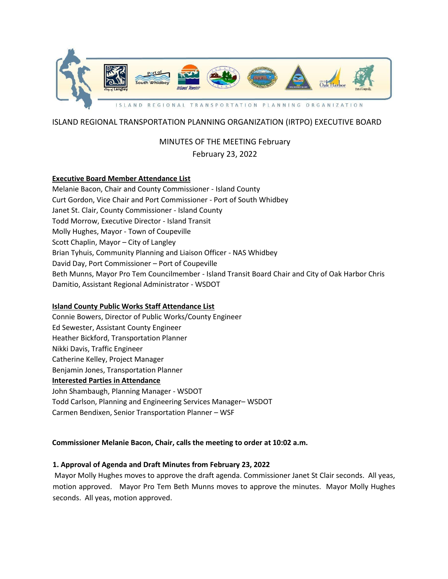

## ISLAND REGIONAL TRANSPORTATION PLANNING ORGANIZATION (IRTPO) EXECUTIVE BOARD

## MINUTES OF THE MEETING February

### February 23, 2022

### **Executive Board Member Attendance List**

Melanie Bacon, Chair and County Commissioner - Island County Curt Gordon, Vice Chair and Port Commissioner - Port of South Whidbey Janet St. Clair, County Commissioner - Island County Todd Morrow, Executive Director - Island Transit Molly Hughes, Mayor - Town of Coupeville Scott Chaplin, Mayor – City of Langley Brian Tyhuis, Community Planning and Liaison Officer - NAS Whidbey David Day, Port Commissioner – Port of Coupeville Beth Munns, Mayor Pro Tem Councilmember - Island Transit Board Chair and City of Oak Harbor Chris Damitio, Assistant Regional Administrator - WSDOT

### **Island County Public Works Staff Attendance List**

Connie Bowers, Director of Public Works/County Engineer Ed Sewester, Assistant County Engineer Heather Bickford, Transportation Planner Nikki Davis, Traffic Engineer Catherine Kelley, Project Manager Benjamin Jones, Transportation Planner **Interested Parties in Attendance** John Shambaugh, Planning Manager - WSDOT Todd Carlson, Planning and Engineering Services Manager– WSDOT Carmen Bendixen, Senior Transportation Planner – WSF

#### **Commissioner Melanie Bacon, Chair, calls the meeting to order at 10:02 a.m.**

### **1. Approval of Agenda and Draft Minutes from February 23, 2022**

Mayor Molly Hughes moves to approve the draft agenda. Commissioner Janet St Clair seconds. All yeas, motion approved. Mayor Pro Tem Beth Munns moves to approve the minutes. Mayor Molly Hughes seconds. All yeas, motion approved.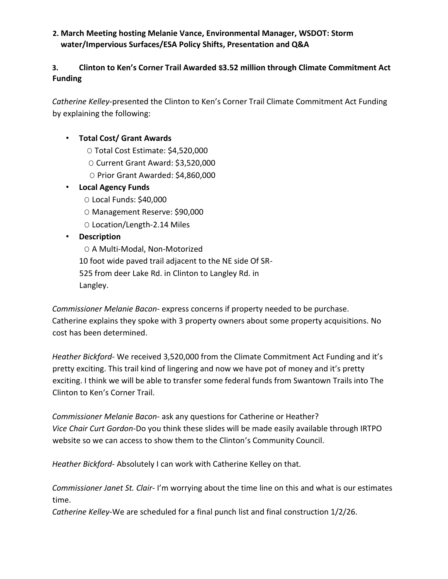### **2. March Meeting hosting Melanie Vance, Environmental Manager, WSDOT: Storm water/Impervious Surfaces/ESA Policy Shifts, Presentation and Q&A**

# **3. Clinton to Ken's Corner Trail Awarded \$3.52 million through Climate Commitment Act Funding**

*Catherine Kelley*-presented the Clinton to Ken's Corner Trail Climate Commitment Act Funding by explaining the following:

## • **Total Cost/ Grant Awards**

- O Total Cost Estimate: \$4,520,000
- O Current Grant Award: \$3,520,000
- O Prior Grant Awarded: \$4,860,000

## • **Local Agency Funds**

- O Local Funds: \$40,000
- O Management Reserve: \$90,000
- O Location/Length-2.14 Miles

## • **Description**

- O A Multi-Modal, Non-Motorized
- 10 foot wide paved trail adjacent to the NE side Of SR-
- 525 from deer Lake Rd. in Clinton to Langley Rd. in

Langley.

*Commissioner Melanie Bacon-* express concerns if property needed to be purchase. Catherine explains they spoke with 3 property owners about some property acquisitions. No cost has been determined.

*Heather Bickford*- We received 3,520,000 from the Climate Commitment Act Funding and it's pretty exciting. This trail kind of lingering and now we have pot of money and it's pretty exciting. I think we will be able to transfer some federal funds from Swantown Trails into The Clinton to Ken's Corner Trail.

*Commissioner Melanie Bacon*- ask any questions for Catherine or Heather? *Vice Chair Curt Gordon-*Do you think these slides will be made easily available through IRTPO website so we can access to show them to the Clinton's Community Council.

*Heather Bickford*- Absolutely I can work with Catherine Kelley on that.

*Commissioner Janet St. Clair*- I'm worrying about the time line on this and what is our estimates time.

*Catherine Kelley-*We are scheduled for a final punch list and final construction 1/2/26.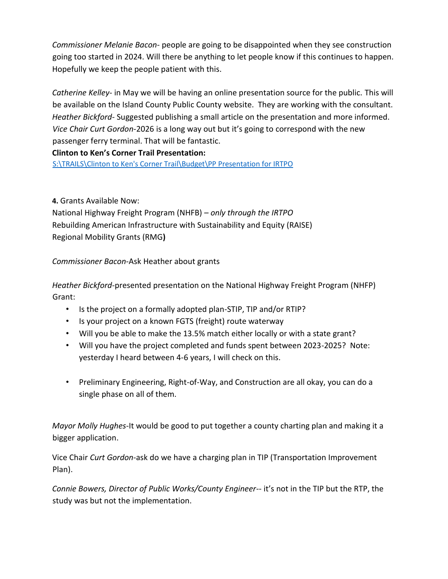*Commissioner Melanie Bacon*- people are going to be disappointed when they see construction going too started in 2024. Will there be anything to let people know if this continues to happen. Hopefully we keep the people patient with this.

*Catherine Kelley*- in May we will be having an online presentation source for the public. This will be available on the Island County Public County website. They are working with the consultant. *Heather Bickford-* Suggested publishing a small article on the presentation and more informed. *Vice Chair Curt Gordon-*2026 is a long way out but it's going to correspond with the new passenger ferry terminal. That will be fantastic.

# **Clinton to Ken's Corner Trail Presentation:**

[S:\TRAILS\Clinton to Ken's Corner Trail\Budget\PP Presentation for IRTPO](file://///canvcspubw/PublicWorks/Common/Engineering/TRAILS/Clinton%20to%20Ken)

**4.** Grants Available Now:

National Highway Freight Program (NHFB) *– only through the IRTPO* Rebuilding American Infrastructure with Sustainability and Equity (RAISE) Regional Mobility Grants (RMG**)** 

*Commissioner Bacon*-Ask Heather about grants

*Heather Bickford-*presented presentation on the National Highway Freight Program (NHFP) Grant:

- Is the project on a formally adopted plan-STIP, TIP and/or RTIP?
- Is your project on a known FGTS (freight) route waterway
- Will you be able to make the 13.5% match either locally or with a state grant?
- Will you have the project completed and funds spent between 2023-2025? Note: yesterday I heard between 4-6 years, I will check on this.
- Preliminary Engineering, Right-of-Way, and Construction are all okay, you can do a single phase on all of them.

*Mayor Molly Hughes*-It would be good to put together a county charting plan and making it a bigger application.

Vice Chair *Curt Gordon*-ask do we have a charging plan in TIP (Transportation Improvement Plan).

*Connie Bowers, Director of Public Works/County Engineer-*- it's not in the TIP but the RTP, the study was but not the implementation.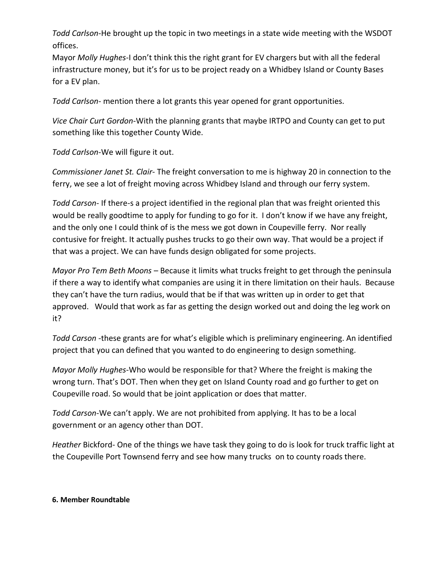*Todd Carlson*-He brought up the topic in two meetings in a state wide meeting with the WSDOT offices.

Mayor *Molly Hughes*-I don't think this the right grant for EV chargers but with all the federal infrastructure money, but it's for us to be project ready on a Whidbey Island or County Bases for a EV plan.

*Todd Carlson-* mention there a lot grants this year opened for grant opportunities.

*Vice Chair Curt Gordon*-With the planning grants that maybe IRTPO and County can get to put something like this together County Wide.

*Todd Carlson*-We will figure it out.

*Commissioner Janet St. Clair*- The freight conversation to me is highway 20 in connection to the ferry, we see a lot of freight moving across Whidbey Island and through our ferry system.

*Todd Carson*- If there-s a project identified in the regional plan that was freight oriented this would be really goodtime to apply for funding to go for it. I don't know if we have any freight, and the only one I could think of is the mess we got down in Coupeville ferry. Nor really contusive for freight. It actually pushes trucks to go their own way. That would be a project if that was a project. We can have funds design obligated for some projects.

*Mayor Pro Tem Beth Moons* – Because it limits what trucks freight to get through the peninsula if there a way to identify what companies are using it in there limitation on their hauls. Because they can't have the turn radius, would that be if that was written up in order to get that approved. Would that work as far as getting the design worked out and doing the leg work on it?

*Todd Carson* -these grants are for what's eligible which is preliminary engineering. An identified project that you can defined that you wanted to do engineering to design something.

*Mayor Molly Hughes*-Who would be responsible for that? Where the freight is making the wrong turn. That's DOT. Then when they get on Island County road and go further to get on Coupeville road. So would that be joint application or does that matter.

*Todd Carson*-We can't apply. We are not prohibited from applying. It has to be a local government or an agency other than DOT.

*Heather* Bickford- One of the things we have task they going to do is look for truck traffic light at the Coupeville Port Townsend ferry and see how many trucks on to county roads there.

### **6. Member Roundtable**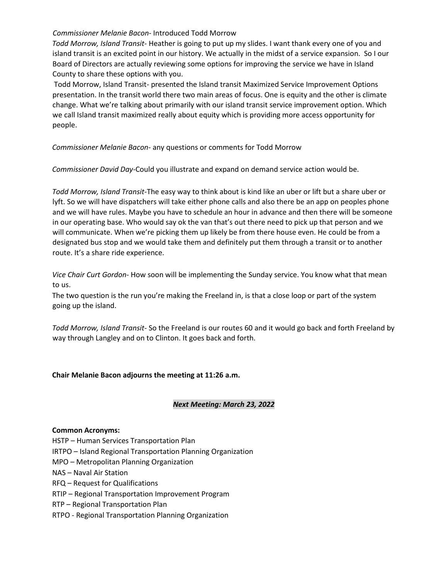#### *Commissioner Melanie Bacon*- Introduced Todd Morrow

*Todd Morrow, Island Transit*- Heather is going to put up my slides. I want thank every one of you and island transit is an excited point in our history. We actually in the midst of a service expansion. So I our Board of Directors are actually reviewing some options for improving the service we have in Island County to share these options with you.

Todd Morrow, Island Transit- presented the Island transit Maximized Service Improvement Options presentation. In the transit world there two main areas of focus. One is equity and the other is climate change. What we're talking about primarily with our island transit service improvement option. Which we call Island transit maximized really about equity which is providing more access opportunity for people.

*Commissioner Melanie Bacon-* any questions or comments for Todd Morrow

*Commissioner David Day-*Could you illustrate and expand on demand service action would be.

*Todd Morrow, Island Transit-*The easy way to think about is kind like an uber or lift but a share uber or lyft. So we will have dispatchers will take either phone calls and also there be an app on peoples phone and we will have rules. Maybe you have to schedule an hour in advance and then there will be someone in our operating base. Who would say ok the van that's out there need to pick up that person and we will communicate. When we're picking them up likely be from there house even. He could be from a designated bus stop and we would take them and definitely put them through a transit or to another route. It's a share ride experience.

*Vice Chair Curt Gordon*- How soon will be implementing the Sunday service. You know what that mean to us.

The two question is the run you're making the Freeland in, is that a close loop or part of the system going up the island.

*Todd Morrow, Island Transit-* So the Freeland is our routes 60 and it would go back and forth Freeland by way through Langley and on to Clinton. It goes back and forth.

#### **Chair Melanie Bacon adjourns the meeting at 11:26 a.m.**

#### *Next Meeting: March 23, 2022*

#### **Common Acronyms:**

HSTP – Human Services Transportation Plan

IRTPO – Island Regional Transportation Planning Organization

MPO – Metropolitan Planning Organization

NAS – Naval Air Station

RFQ – Request for Qualifications

RTIP – Regional Transportation Improvement Program

RTP – Regional Transportation Plan

RTPO - Regional Transportation Planning Organization